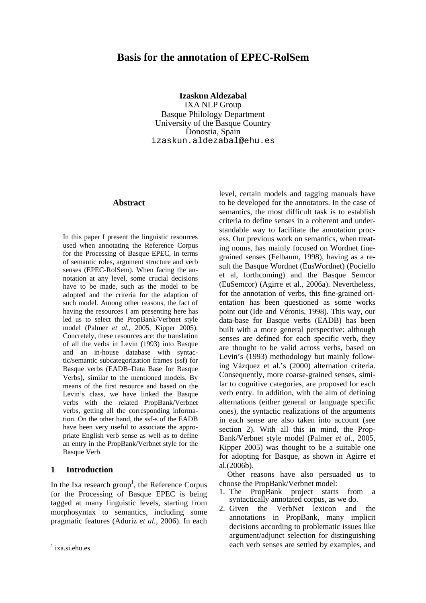# **Basis for the annotation of EPEC-RolSem**

**Izaskun Aldezabal**  IXA NLP Group Basque Philology Department University of the Basque Country Donostia, Spain izaskun.aldezabal@ehu.es

### **Abstract**

In this paper I present the linguistic resources used when annotating the Reference Corpus for the Processing of Basque EPEC, in terms of semantic roles, argument structure and verb senses (EPEC-RolSem). When facing the annotation at any level, some crucial decisions have to be made, such as the model to be adopted and the criteria for the adaption of such model. Among other reasons, the fact of having the resources I am presenting here has led us to select the PropBank/Verbnet style model (Palmer *et al.*, 2005, Kipper 2005). Concretely, these resources are: the translation of all the verbs in Levin (1993) into Basque and an in-house database with syntactic/semantic subcategorization frames (ssf) for Basque verbs (EADB–Data Base for Basque Verbs), similar to the mentioned models. By means of the first resource and based on the Levin's class, we have linked the Basque verbs with the related PropBank/Verbnet verbs, getting all the corresponding information. On the other hand, the ssf-s of the EADB have been very useful to associate the appropriate English verb sense as well as to define an entry in the PropBank/Verbnet style for the Basque Verb.

## **1 Introduction**

In the Ixa research group<sup>1</sup>, the Reference Corpus for the Processing of Basque EPEC is being tagged at many linguistic levels, starting from morphosyntax to semantics, including some pragmatic features (Aduriz *et al.*, 2006). In each

level, certain models and tagging manuals have to be developed for the annotators. In the case of semantics, the most difficult task is to establish criteria to define senses in a coherent and understandable way to facilitate the annotation process. Our previous work on semantics, when treating nouns, has mainly focused on Wordnet finegrained senses (Felbaum, 1998), having as a result the Basque Wordnet (EusWordnet) (Pociello et al, forthcoming) and the Basque Semcor (EuSemcor) (Agirre et al., 2006a). Nevertheless, for the annotation of verbs, this fine-grained orientation has been questioned as some works point out (Ide and Véronis, 1998). This way, our data-base for Basque verbs (EADB) has been built with a more general perspective: although senses are defined for each specific verb, they are thought to be valid across verbs, based on Levin's (1993) methodology but mainly following Vázquez et al.'s (2000) alternation criteria. Consequently, more coarse-grained senses, similar to cognitive categories, are proposed for each verb entry. In addition, with the aim of defining alternations (either general or language specific ones), the syntactic realizations of the arguments in each sense are also taken into account (see section 2). With all this in mind, the Prop-Bank/Verbnet style model (Palmer *et al.*, 2005, Kipper 2005) was thought to be a suitable one for adopting for Basque, as shown in Agirre et al.(2006b).

Other reasons have also persuaded us to choose the PropBank/Verbnet model:

- 1. The PropBank project starts from a syntactically annotated corpus, as we do.
- 2. Given the VerbNet lexicon and the annotations in PropBank, many implicit decisions according to problematic issues like argument/adjunct selection for distinguishing each verb senses are settled by examples, and

<span id="page-0-0"></span><sup>&</sup>lt;sup>1</sup> ixa.si.ehu.es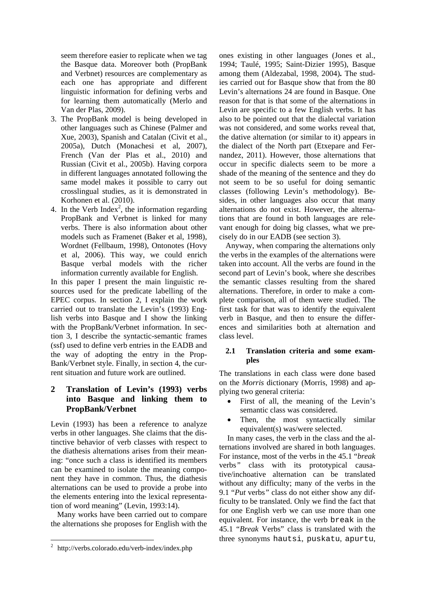seem therefore easier to replicate when we tag the Basque data. Moreover both (PropBank and Verbnet) resources are complementary as each one has appropriate and different linguistic information for defining verbs and for learning them automatically (Merlo and Van der Plas, 2009).

- 3. The PropBank model is being developed in other languages such as Chinese (Palmer and Xue, 2003), Spanish and Catalan (Civit et al., 2005a), Dutch (Monachesi et al, 2007), French (Van der Plas et al., 2010) and Russian (Civit et al., 2005b). Having corpora in different languages annotated following the same model makes it possible to carry out crosslingual studies, as it is demonstrated in Korhonen et al. (2010).
- 4. In the Verb Index<sup>2</sup>, the information regarding PropBank and Verbnet is linked for many verbs. There is also information about other models such as Framenet (Baker et al, 1998), Wordnet (Fellbaum, 1998), Ontonotes (Hovy et al, 2006). This way, we could enrich Basque verbal models with the richer information currently available for English.

In this paper I present the main linguistic resources used for the predicate labelling of the EPEC corpus. In section 2, I explain the work carried out to translate the Levin's (1993) English verbs into Basque and I show the linking with the PropBank/Verbnet information. In section 3, I describe the syntactic-semantic frames (ssf) used to define verb entries in the EADB and the way of adopting the entry in the Prop-Bank/Verbnet style. Finally, in section 4, the current situation and future work are outlined.

# **2 Translation of Levin's (1993) verbs into Basque and linking them to PropBank/Verbnet**

Levin (1993) has been a reference to analyze verbs in other languages. She claims that the distinctive behavior of verb classes with respect to the diathesis alternations arises from their meaning: "once such a class is identified its members can be examined to isolate the meaning component they have in common. Thus, the diathesis alternations can be used to provide a probe into the elements entering into the lexical representation of word meaning" (Levin, 1993:14).

Many works have been carried out to compare the alternations she proposes for English with the

ones existing in other languages (Jones et al., 1994; Taulé, 1995; Saint-Dizier 1995), Basque among them (Aldezabal, 1998, 2004)**.** The studies carried out for Basque show that from the 80 Levin's alternations 24 are found in Basque. One reason for that is that some of the alternations in Levin are specific to a few English verbs. It has also to be pointed out that the dialectal variation was not considered, and some works reveal that, the dative alternation (or similar to it) appears in the dialect of the North part (Etxepare and Fernandez, 2011). However, those alternations that occur in specific dialects seem to be more a shade of the meaning of the sentence and they do not seem to be so useful for doing semantic classes (following Levin's methodology). Besides, in other languages also occur that many alternations do not exist. However, the alternations that are found in both languages are relevant enough for doing big classes, what we precisely do in our EADB (see section 3).

Anyway, when comparing the alternations only the verbs in the examples of the alternations were taken into account. All the verbs are found in the second part of Levin's book, where she describes the semantic classes resulting from the shared alternations. Therefore, in order to make a complete comparison, all of them were studied. The first task for that was to identify the equivalent verb in Basque, and then to ensure the differences and similarities both at alternation and class level.

### **2.1 Translation criteria and some examples**

The translations in each class were done based on the *Morris* dictionary (Morris, 1998) and applying two general criteria:

- First of all, the meaning of the Levin's semantic class was considered.
- Then, the most syntactically similar equivalent(s) was/were selected.

In many cases, the verb in the class and the alternations involved are shared in both languages. For instance, most of the verbs in the 45.1 "*break*  verbs*"* class with its prototypical causative/inchoative alternation can be translated without any difficulty; many of the verbs in the 9.1 "*Put* verbs*"* class do not either show any difficulty to be translated. Only we find the fact that for one English verb we can use more than one equivalent. For instance, the verb break in the 45.1 "*Break* Verbs" class is translated with the three synonyms hautsi, puskatu, apurtu,

<span id="page-1-0"></span> $^{2}$  http://verbs.colorado.edu/verb-index/index.php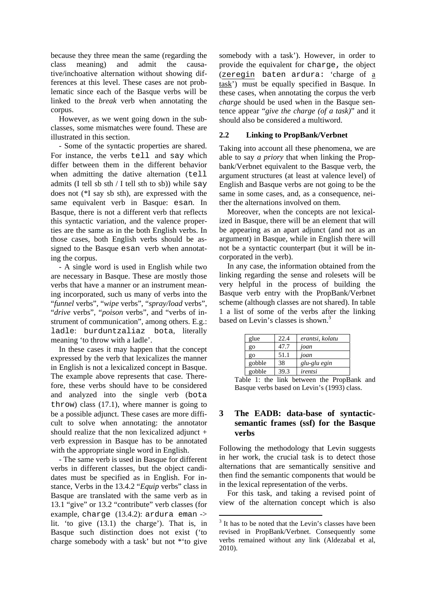because they three mean the same (regarding the class meaning) and admit the causative/inchoative alternation without showing differences at this level. These cases are not problematic since each of the Basque verbs will be linked to the *break* verb when annotating the corpus.

However, as we went going down in the subclasses, some mismatches were found. These are illustrated in this section.

- Some of the syntactic properties are shared. For instance, the verbs tell and say which differ between them in the different behavior when admitting the dative alternation (tell admits (I tell sb sth  $/$  I tell sth to sb)) while say does not (\*I say sb sth), are expressed with the same equivalent verb in Basque: esan*.* In Basque, there is not a different verb that reflects this syntactic variation, and the valence properties are the same as in the both English verbs. In those cases, both English verbs should be assigned to the Basque esan verb when annotating the corpus.

- A single word is used in English while two are necessary in Basque. These are mostly those verbs that have a manner or an instrument meaning incorporated, such us many of verbs into the "*funnel* verbs", "*wipe* verbs", "*spray/load* verbs", "*drive* verbs", "*poison* verbs", and "verbs of instrument of communication", among others. E.g.: ladle: burduntzaliaz bota, literally meaning 'to throw with a ladle'.

In these cases it may happen that the concept expressed by the verb that lexicalizes the manner in English is not a lexicalized concept in Basque. The example above represents that case. Therefore, these verbs should have to be considered and analyzed into the single verb (bota throw) class (17.1), where manner is going to be a possible adjunct. These cases are more difficult to solve when annotating: the annotator should realize that the non lexicalized adjunct + verb expression in Basque has to be annotated with the appropriate single word in English.

- The same verb is used in Basque for different verbs in different classes, but the object candidates must be specified as in English. For instance, Verbs in the 13.4.2 "*Equip* verbs" class in Basque are translated with the same verb as in 13.1 "give" or 13.2 "contribute" verb classes (for example, charge (13.4.2): ardura eman -> lit. 'to give (13.1) the charge'). That is, in Basque such distinction does not exist ('to charge somebody with a task' but not \*'to give

somebody with a task'). However, in order to provide the equivalent for charge, the object (zeregin baten ardura: 'charge of a task') must be equally specified in Basque. In these cases, when annotating the corpus the verb *charge* should be used when in the Basque sentence appear "*give the charge (of a task)*" and it should also be considered a multiword.

#### **2.2 Linking to PropBank/Verbnet**

Taking into account all these phenomena, we are able to say *a priory* that when linking the Propbank/Verbnet equivalent to the Basque verb, the argument structures (at least at valence level) of English and Basque verbs are not going to be the same in some cases, and, as a consequence, neither the alternations involved on them.

Moreover, when the concepts are not lexicalized in Basque, there will be an element that will be appearing as an apart adjunct (and not as an argument) in Basque, while in English there will not be a syntactic counterpart (but it will be incorporated in the verb).

In any case, the information obtained from the linking regarding the sense and rolesets will be very helpful in the process of building the Basque verb entry with the PropBank/Verbnet scheme (although classes are not shared). In table 1 a list of some of the verbs after the linking based on Levin's classes is shown.<sup>[3](#page-2-0)</sup>

| glue   | 22.4 | erantsi, kolatu |
|--------|------|-----------------|
| go     | 47.7 | joan            |
| go     | 51.1 | joan            |
| gobble | 38   | glu-glu egin    |
| gobble | 39.3 | irentsi         |

Table 1: the link between the PropBank and Basque verbs based on Levin's (1993) class.

# **3 The EADB: data-base of syntacticsemantic frames (ssf) for the Basque verbs**

Following the methodology that Levin suggests in her work, the crucial task is to detect those alternations that are semantically sensitive and then find the semantic components that would be in the lexical representation of the verbs.

For this task, and taking a revised point of view of the alternation concept which is also

<span id="page-2-0"></span><sup>&</sup>lt;sup>3</sup> It has to be noted that the Levin's classes have been revised in PropBank/Verbnet. Consequently some verbs remained without any link (Aldezabal et al, 2010).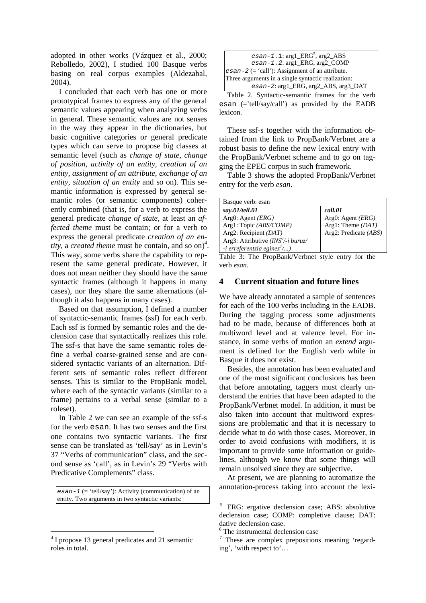adopted in other works (Vázquez et al., 2000; Rebolledo, 2002), I studied 100 Basque verbs basing on real corpus examples (Aldezabal, 2004).

I concluded that each verb has one or more prototypical frames to express any of the general semantic values appearing when analyzing verbs in general. These semantic values are not senses in the way they appear in the dictionaries, but basic cognitive categories or general predicate types which can serve to propose big classes at semantic level (such as *change of state*, *change of position*, *activity of an entity*, *creation of an entity*, *assignment of an attribute*, *exchange of an entity*, *situation of an entity* and so on). This semantic information is expressed by general semantic roles (or semantic components) coherently combined (that is, for a verb to express the general predicate *change of state*, at least an *affected theme* must be contain; or for a verb to express the general predicate *creation of an entity*, a *created theme* must be contain, and so on)<sup>[4](#page-3-0)</sup>. This way, some verbs share the capability to represent the same general predicate. However, it does not mean neither they should have the same syntactic frames (although it happens in many cases), nor they share the same alternations (although it also happens in many cases).

Based on that assumption, I defined a number of syntactic-semantic frames (ssf) for each verb. Each ssf is formed by semantic roles and the declension case that syntactically realizes this role. The ssf-s that have the same semantic roles define a verbal coarse-grained sense and are considered syntactic variants of an alternation. Different sets of semantic roles reflect different senses. This is similar to the PropBank model, where each of the syntactic variants (similar to a frame) pertains to a verbal sense (similar to a roleset).

In Table 2 we can see an example of the ssf-s for the verb esan. It has two senses and the first one contains two syntactic variants. The first sense can be translated as 'tell/say' as in Levin's 37 "Verbs of communication" class, and the second sense as 'call', as in Levin's 29 "Verbs with Predicative Complements" class.

*esan-1* (= 'tell/say'): Activity (communication) of an entity. Two arguments in two syntactic variants:

| $esan-1.1:arg1\_ERG^5,arg2\_ABS$                   |  |  |  |
|----------------------------------------------------|--|--|--|
| esan-1.2: arg1_ERG, arg2_COMP                      |  |  |  |
| $esan-2 (= 'call')$ : Assignment of an attribute.  |  |  |  |
| Three arguments in a single syntactic realization: |  |  |  |
| $esan-2$ : arg $1$ ERG, arg $2$ ABS, arg $3$ DAT   |  |  |  |

Table 2. Syntactic-semantic frames for the verb esan (='tell/say/call') as provided by the EADB lexicon.

These ssf-s together with the information obtained from the link to PropBank/Verbnet are a robust basis to define the new lexical entry with the PropBank/Verbnet scheme and to go on tagging the EPEC corpus in such framework.

Table 3 shows the adopted PropBank/Verbnet entry for the verb *esan*.

| Basque verb: esan                      |                                |  |  |
|----------------------------------------|--------------------------------|--|--|
| say.01/tell.01                         | call.01                        |  |  |
| Arg0: Agent $(ERG)$                    | Arg $0$ : Agent ( <i>ERG</i> ) |  |  |
| Arg1: Topic (ABS/COMP)                 | Arg1: Theme $(DAT)$            |  |  |
| Arg2: Recipient $(DAT)$                | Arg2: Predicate (ABS)          |  |  |
| Arg3: Attributive ( $INS^6$ /-i buruz/ |                                |  |  |
| $-i$ erreferentzia eginez $\frac{7}{}$ |                                |  |  |

Table 3: The PropBank/Verbnet style entry for the verb *esan*.

## **4 Current situation and future lines**

We have already annotated a sample of sentences for each of the 100 verbs including in the EADB. During the tagging process some adjustments had to be made, because of differences both at multiword level and at valence level. For instance, in some verbs of motion an *extend* argument is defined for the English verb while in Basque it does not exist.

Besides, the annotation has been evaluated and one of the most significant conclusions has been that before annotating, taggers must clearly understand the entries that have been adapted to the PropBank/Verbnet model. In addition, it must be also taken into account that multiword expressions are problematic and that it is necessary to decide what to do with those cases. Moreover, in order to avoid confusions with modifiers, it is important to provide some information or guidelines, although we know that some things will remain unsolved since they are subjective.

At present, we are planning to automatize the annotation-process taking into account the lexi-

<span id="page-3-0"></span><sup>&</sup>lt;sup>4</sup> I propose 13 general predicates and 21 semantic roles in total.

<span id="page-3-1"></span><sup>5</sup> ERG: ergative declension case; ABS: absolutive declension case; COMP: completive clause; DAT: dative declension case.

<span id="page-3-2"></span><sup>6</sup> The instrumental declension case

<span id="page-3-3"></span><sup>&</sup>lt;sup>7</sup> These are complex prepositions meaning 'regarding', 'with respect to'…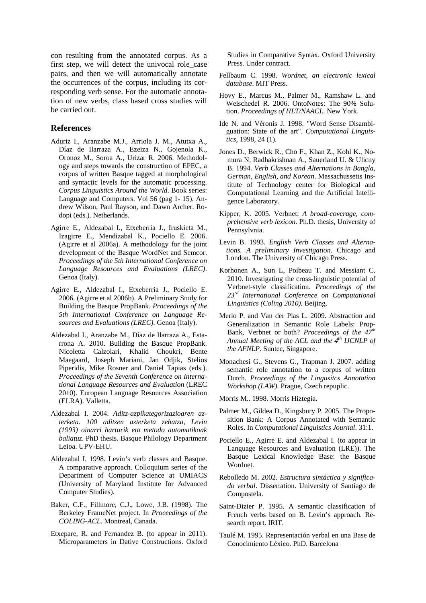con resulting from the annotated corpus. As a first step, we will detect the univocal role\_case pairs, and then we will automatically annotate the occurrences of the corpus, including its corresponding verb sense. For the automatic annotation of new verbs, class based cross studies will be carried out.

#### **References**

- Aduriz I., Aranzabe M.J., Arriola J. M., Atutxa A., Díaz de Ilarraza A., Ezeiza N., Gojenola K., Oronoz M., Soroa A., Urizar R. 2006. Methodology and steps towards the construction of EPEC, a corpus of written Basque tagged at morphological and syntactic levels for the automatic processing. *Corpus Linguistics Around the World*. Book series: Language and Computers. Vol 56 (pag 1- 15). Andrew Wilson, Paul Rayson, and Dawn Archer. Rodopi (eds.). Netherlands.
- Agirre E., Aldezabal I., Etxeberria J., Iruskieta M., Izagirre E., Mendizabal K., Pociello E. 2006. (Agirre et al 2006a). A methodology for the joint development of the Basque WordNet and Semcor. *Proceedings of the 5th International Conference on Language Resources and Evaluations (LREC)*. Genoa (Italy).
- Agirre E., Aldezabal I., Etxeberria J., Pociello E. 2006. (Agirre et al 2006b). A Preliminary Study for Building the Basque PropBank. *Proceedings of the 5th International Conference on Language Resources and Evaluations (LREC)*. Genoa (Italy).
- Aldezabal I., Aranzabe M., Díaz de Ilarraza A., Estarrona A. 2010. Building the Basque PropBank. Nicoletta Calzolari, Khalid Choukri, Bente Maegaard, Joseph Mariani, Jan Odjik, Stelios Piperidis, Mike Rosner and Daniel Tapias (eds.). *Proceedings of the Seventh Conference on International Language Resources and Evaluation* (LREC 2010). European Language Resources Association (ELRA). Valletta.
- Aldezabal I. 2004. *Aditz-azpikategorizazioaren azterketa. 100 aditzen azterketa zehatza, Levin (1993) oinarri harturik eta metodo automatikoak baliatuz*. PhD thesis. Basque Philology Department Leioa. UPV-EHU.
- Aldezabal I. 1998. Levin's verb classes and Basque. A comparative approach. Colloquium series of the Department of Computer Science at UMIACS (University of Maryland Institute for Advanced Computer Studies).
- Baker, C.F., Fillmore, C.J., Lowe, J.B. (1998). The Berkeley FrameNet project. In *Proceedings of the COLING-ACL*. Montreal, Canada.
- Etxepare, R. and Fernandez B. (to appear in 2011). Microparameters in Dative Constructions. Oxford

Studies in Comparative Syntax. Oxford University Press. Under contract.

- Fellbaum C. 1998. *Wordnet, an electronic lexical database*. MIT Press.
- Hovy E., Marcus M., Palmer M., Ramshaw L. and Weischedel R. 2006. OntoNotes: The 90% Solution. *Proceedings of HLT/NAACL*. New York.
- Ide N. and Véronis J. 1998. "Word Sense Disambiguation: State of the art". *Computational Linguistics*, 1998, 24 (1).
- Jones D., Berwick R., Cho F., Khan Z., Kohl K., Nomura N, Radhakrishnan A., Sauerland U. & Ulicny B. 1994. *Verb Classes and Alternations in Bangla, German, English, and Korean*. Massachussetts Institute of Technology center for Biological and Computational Learning and the Artificial Intelligence Laboratory.
- Kipper, K. 2005. Verbnet: *A broad-coverage, comprehensive verb lexicon*. Ph.D. thesis, University of Pennsylvnia.
- Levin B. 1993. *English Verb Classes and Alternations. A preliminary Investigation*. Chicago and London. The University of Chicago Press.
- Korhonen A., Sun L, Poibeau T. and Messiant C. 2010. Investigating the cross-linguistic potential of Verbnet-style classification. *Proceedings of the 23rd International Conference on Computational Linguistics (Coling 2010).* Beijing.
- Merlo P. and Van der Plas L. 2009. Abstraction and Generalization in Semantic Role Labels: Prop-Bank, Verbnet or both? *Proceedings of the 47th Annual Meeting of the ACL and the 4th IJCNLP of the AFNLP*. Suntec, Singapore.
- Monachesi G., Stevens G., Trapman J. 2007. adding semantic role annotation to a corpus of written Dutch. *Proceedings of the Lingusitcs Annotation Workshop (LAW)*. Prague, Czech repuplic.
- Morris M.. 1998. Morris Hiztegia.
- Palmer M., Gildea D., Kingsbury P. 2005. The Proposition Bank: A Corpus Annotated with Semantic Roles. In *Computational Linguistics Journal*. 31:1.
- Pociello E., Agirre E. and Aldezabal I. (to appear in Language Resources and Evaluation (LRE)). The Basque Lexical Knowledge Base: the Basque Wordnet.
- Rebolledo M. 2002. *Estructura sintáctica y significado verbal*. Dissertation. University of Santiago de Compostela.
- Saint-Dizier P. 1995. A semantic classification of French verbs based on B. Levin's approach. Research report. IRIT.
- Taulé M. 1995. Representación verbal en una Base de Conocimiento Léxico. PhD. Barcelona